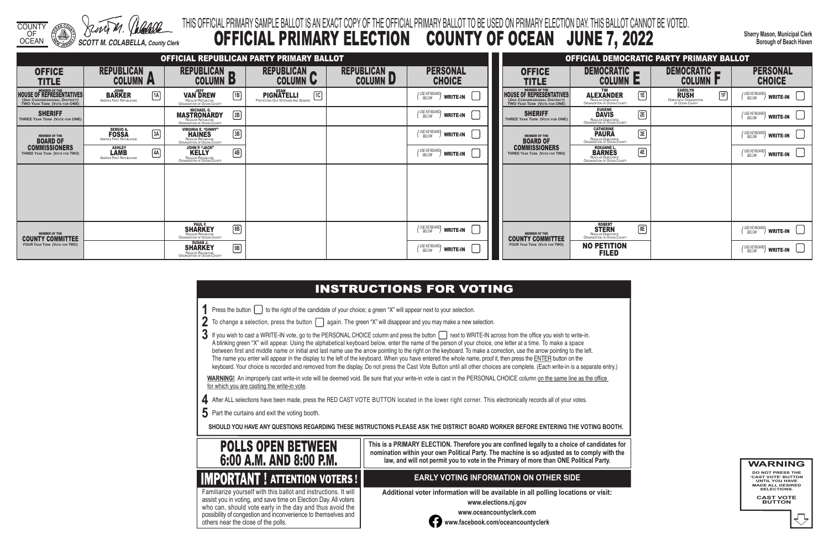COUNTY OF OCEAN *SCOTT M. COLABELLA, County Clerk*

**Sherry Mason, Municipal Clerk Borough of Beach Haven**

|  | ou wish to write-in. |
|--|----------------------|
|  |                      |

- 
- 

## THIS OFFICIAL PRIMARY SAMPLE BALLOT IS AN EXACT COPY OF THE OFFICIAL PRIMARY BALLOT TO BE USED ON PRIMARY ELECTION DAY. THIS BALLOT CANNOT BE VOTED. OFFICIAL PRIMARY ELECTION COUNTY OF OCEAN JUNE 7, 2022

- **1** Press the button **the right of the candidate of your choice**; a green "X" will appear next to your selection.
- **2** To change a selection, press the button **again.** The green "X" will disappear and you may make a new selection.
- 3 If you wish to cast a WRITE-IN vote, go to the PERSONAL CHOICE column and press the button  $\Box$  next to WRITE-IN across from the office you A blinking green "X" will appear. Using the alphabetical keyboard below, enter the name of the person of your choice, one letter at a time. To make a space between first and middle name or initial and last name use the arrow pointing to the right on the keyboard. To make a correction, use the arrow pointing to the left. The name you enter will appear in the display to the left of the keyboard. When you have entered the whole name, proof it, then press the ENTER button on the keyboard. Your choice is recorded and removed from the display. Do not press the Cast Vote Button until all other choices are complete. (Each write-in is a separate entry.)

WARNING! An improperly cast write-in vote will be deemed void. Be sure that your write-in vote is cast in the PERSONAL CHOICE column on the same line as the office for which you are casting the write-in vote.

- **4** After ALL selections have been made, press the RED CAST VOTE BUTTON located in the lower right corner. This electronically records all of your votes.
- **5** Part the curtains and exit the voting booth.

**SHOULD YOU HAVE ANY QUESTIONS REGARDING THESE INSTRUCTIONS PLEASE ASK THE DISTRICT BOARD WORKER BEFORE ENTERING THE VOTING BOOTH.**

**This is a PRIMARY ELECTION. Therefore you are confined legally to a choice of candidates for nomination within your own Political Party. The machine is so adjusted as to comply with the law, and will not permit you to vote in the Primary of more than ONE Political Party.**

 assist you in voting, and save time on Election Day. All voters Familiarize yourself with this ballot and instructions. It will who can, should vote early in the day and thus avoid the possibility of congestion and inconvenience to themselves and others near the close of the polls.

### **EARLY VOTING INFORMATION ON OTHER SIDE**

**Additional voter information will be available in all polling locations or visit:**

**www.elections.nj.gov** 



**www.oceancountyclerk.com <sup>w</sup>ww.facebook.com/oceancountyclerk** **WARNING DO NOT PRESS THE** 

**'CAST VOTE' BUTTON UNTIL YOU HAVE MADE ALL DESIRED SELECTIONS.** 

**CAST VOTE BUTTON**



| OFFICIAL REPUBLICAN PARTY PRIMARY BALLOT                                                                  |                                                                 |                                                                                                                   |                                                                               | <b>OFFICIAL DEMOCRATIC PARTY PRIMARY BALLOT</b> |                                                                                               |                                                                                                        |                                                                                                        |                                                                                       |                                                               |
|-----------------------------------------------------------------------------------------------------------|-----------------------------------------------------------------|-------------------------------------------------------------------------------------------------------------------|-------------------------------------------------------------------------------|-------------------------------------------------|-----------------------------------------------------------------------------------------------|--------------------------------------------------------------------------------------------------------|--------------------------------------------------------------------------------------------------------|---------------------------------------------------------------------------------------|---------------------------------------------------------------|
| <b>OFFICE</b><br><b>TITLE</b>                                                                             | <b>REPUBLICAN</b><br><b>COLUMN A</b>                            | REPUBLICAN <b>REPUBLICAN</b><br><b>COLUMN B</b>                                                                   | REPUBLICAN<br><b>COLUMN U</b>                                                 | REPUBLICAN<br>COLUMN D                          | <b>PERSONAL</b><br><b>CHOICE</b>                                                              | <b>OFFICE</b><br><b>TITLE</b>                                                                          | DEMOCRATIC <b>_</b><br><b>COLUMN E</b>                                                                 | DEMOCRATIC <b>P</b><br><b>COLUMN P</b>                                                | <b>PERSONAL</b><br><b>CHOICE</b>                              |
| WEMBER OF THE<br>HOUSE OF REPRESENTATIVES<br>(2ND CONGRESSIONAL DISTRICT)<br>TWO YEAR TERM (VOTE FOR ONE) | $\sqrt{1A}$<br><b>BARKER</b><br>AMERICA FIRST REPUBLICANS       | <b>JEFF</b><br>$\boxed{1B}$<br><b>VAN DREW</b><br>REGULAR REPUBLICAN<br>ORGANIZATION OF OCEAN COUNTY              | <b>SEAN</b><br>1C<br><b>PIGNATELLI</b><br>PROTECTING OUR VETERANS AND SENIORS |                                                 | $\binom{\text{USE KEYBOARD}}{\text{BELOW}}$ write-in                                          | MEMBER OF THE HOUSE OF REPRESENTATIVES<br>(2ND CONGRESSIONAL DISTRICT)<br>TWO YEAR TERM (VOTE FOR ONE) | TIM<br>$\sqrt{1E}$<br>ALEXANDER                                                                        | <b>CAROLYN<br/>RUSH</b><br>DEMOCRATIC ORGANIZATION<br>OF OCEAN COUNTY<br>$\boxed{1F}$ | (USE KEYBOARD)<br>$^{\prime\prime}$ write-in $\hphantom{a}$   |
| <b>SHERIFF</b><br>THREE YEAR TERM (VOTE FOR ONE)                                                          |                                                                 | <b>MASTRONARDY</b><br>2B                                                                                          |                                                                               |                                                 | $\binom{\text{USE KEYBOARD}}{\text{BELOW}}$ write-in                                          | <b>SHERIFF</b><br>THREE YEAR TERM (VOTE FOR ONE)                                                       | EUGENE<br><b>DAVIS</b><br>2E<br>REGULAR DEMOCRATIC<br>ORGANIZATION OF OCEAN COUNTY                     |                                                                                       | (USE KEYBOARD)<br>$^{\prime\prime}$ write-in $\hskip1cm\Box$  |
| <b>MEMBER OF THE</b><br><b>BOARD OF</b>                                                                   | SERGIO A.<br>FOSSA<br>AMERICA FIRST REPUBLICANS<br>$\boxed{3A}$ | <b>VIRGINIA E. "GINNY"</b><br>$\boxed{3B}$<br><b>HAINES</b><br>REGULAR REPUBLICAN<br>ORGANIZATION OF OCEAN COUNTY |                                                                               |                                                 | $\binom{\textit{USE KEYBOARD}}{\textit{BELOW}}$ write-in                                      | <b>MEMBER OF THE</b><br><b>BOARD OF</b>                                                                | <b>CATHERINE</b><br>$\boxed{3E}$<br><b>PAURA</b><br>REGULAR DEMOCRATIC<br>ORGANIZATION OF OCEAN COUNTY |                                                                                       | (USE KEYBOARD)<br>$^{\prime\prime}$ write-in $\hskip1cm \Box$ |
| <b>COMMISSIONERS</b><br><b>THREE YEAR TERM (VOTE FOR TWO)</b>                                             | <b>ASHLEY</b><br>4A<br><b>AMERICA FIRST REPUBLICANS</b>         | JOHN P. "JACK"<br>KELLY<br>$\boxed{4B}$<br>REGULAR REPUBLICAN<br>ORGANIZATION OF OCEAN COUNTY                     |                                                                               |                                                 | $\left(\begin{smallmatrix} \text{USE KEYBOARD} \text{OARD} \end{smallmatrix}\right)$ write-in | <b>COMMISSIONERS</b><br>THREE YEAR TERM (VOTE FOR TWO)                                                 | ROXANNE L.<br>BARNES<br>$\sqrt{4E}$<br>REGULAR DEMOCRATIC<br>ORGANIZATION OF OCEAN COUNTY              |                                                                                       | (USE KEYBOARD)<br>$\,$ write-in $\,$ $\,$ $\,$                |
|                                                                                                           |                                                                 |                                                                                                                   |                                                                               |                                                 |                                                                                               |                                                                                                        |                                                                                                        |                                                                                       |                                                               |
|                                                                                                           |                                                                 |                                                                                                                   |                                                                               |                                                 |                                                                                               |                                                                                                        |                                                                                                        |                                                                                       |                                                               |
|                                                                                                           |                                                                 |                                                                                                                   |                                                                               |                                                 |                                                                                               |                                                                                                        |                                                                                                        |                                                                                       |                                                               |
| <b>MEMBER OF THE</b><br><b>COUNTY COMMITTEE</b>                                                           |                                                                 | <b>SHARKEY</b><br>$\boxed{8}$<br>REGULAR REPUBLICAN<br>ORGANIZATION OF OCEAN COUNTY                               |                                                                               |                                                 | $\binom{\text{USE KEYBOARD}}{\text{BELOW}}$ write-in                                          | <b>MEMBER OF THE</b><br><b>COUNTY COMMITTEE</b>                                                        | <b>ROBERT</b><br>$\boxed{8E}$<br><b>STERN</b><br>REGULAR DEMOCRATIC<br>ORGANIZATION OF OCEAN COUNTY    |                                                                                       | (USE KEYBOARD)<br>write-in                                    |
| <b>FOUR YEAR TERM (VOTE FOR TWO)</b>                                                                      |                                                                 | <b>SUSAN J.</b><br>$\boxed{9}$<br><b>SHARKEY</b><br>REGULAR REPUBLICAN<br>ORGANIZATION OF OCEAN COUNTY            |                                                                               |                                                 | (USE KEYBOARD)<br>BELOW<br>write-in                                                           | <b>FOUR YEAR TERM (VOTE FOR TWO)</b>                                                                   | <b>NO PETITION</b><br><b>FILED</b>                                                                     |                                                                                       | (USE KEYBOARD)<br>$^{\prime\prime}$ write-in                  |

## **INSTRUCTIONS FOR VOTING**